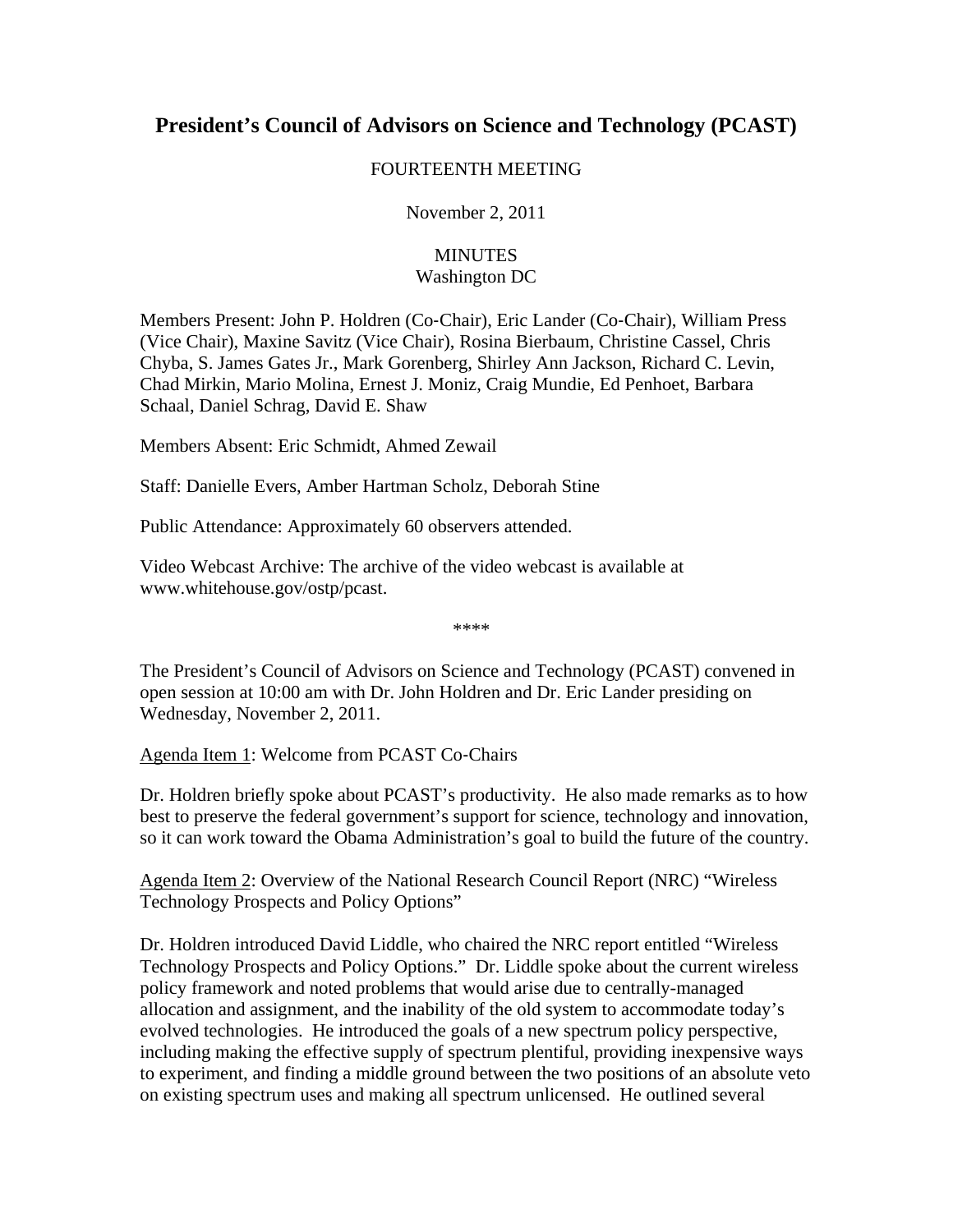## **President's Council of Advisors on Science and Technology (PCAST)**

## FOURTEENTH MEETING

November 2, 2011

## **MINUTES** Washington DC

Members Present: John P. Holdren (Co‐Chair), Eric Lander (Co‐Chair), William Press (Vice Chair), Maxine Savitz (Vice Chair), Rosina Bierbaum, Christine Cassel, Chris Chyba, S. James Gates Jr., Mark Gorenberg, Shirley Ann Jackson, Richard C. Levin, Chad Mirkin, Mario Molina, Ernest J. Moniz, Craig Mundie, Ed Penhoet, Barbara Schaal, Daniel Schrag, David E. Shaw

Members Absent: Eric Schmidt, Ahmed Zewail

Staff: Danielle Evers, Amber Hartman Scholz, Deborah Stine

Public Attendance: Approximately 60 observers attended.

Video Webcast Archive: The archive of the video webcast is available at www.whitehouse.gov/ostp/pcast.

\*\*\*\*

The President's Council of Advisors on Science and Technology (PCAST) convened in open session at 10:00 am with Dr. John Holdren and Dr. Eric Lander presiding on Wednesday, November 2, 2011.

Agenda Item 1: Welcome from PCAST Co‐Chairs

Dr. Holdren briefly spoke about PCAST's productivity. He also made remarks as to how best to preserve the federal government's support for science, technology and innovation, so it can work toward the Obama Administration's goal to build the future of the country.

Agenda Item 2: Overview of the National Research Council Report (NRC) "Wireless Technology Prospects and Policy Options"

Dr. Holdren introduced David Liddle, who chaired the NRC report entitled "Wireless Technology Prospects and Policy Options." Dr. Liddle spoke about the current wireless policy framework and noted problems that would arise due to centrally-managed allocation and assignment, and the inability of the old system to accommodate today's evolved technologies. He introduced the goals of a new spectrum policy perspective, including making the effective supply of spectrum plentiful, providing inexpensive ways to experiment, and finding a middle ground between the two positions of an absolute veto on existing spectrum uses and making all spectrum unlicensed. He outlined several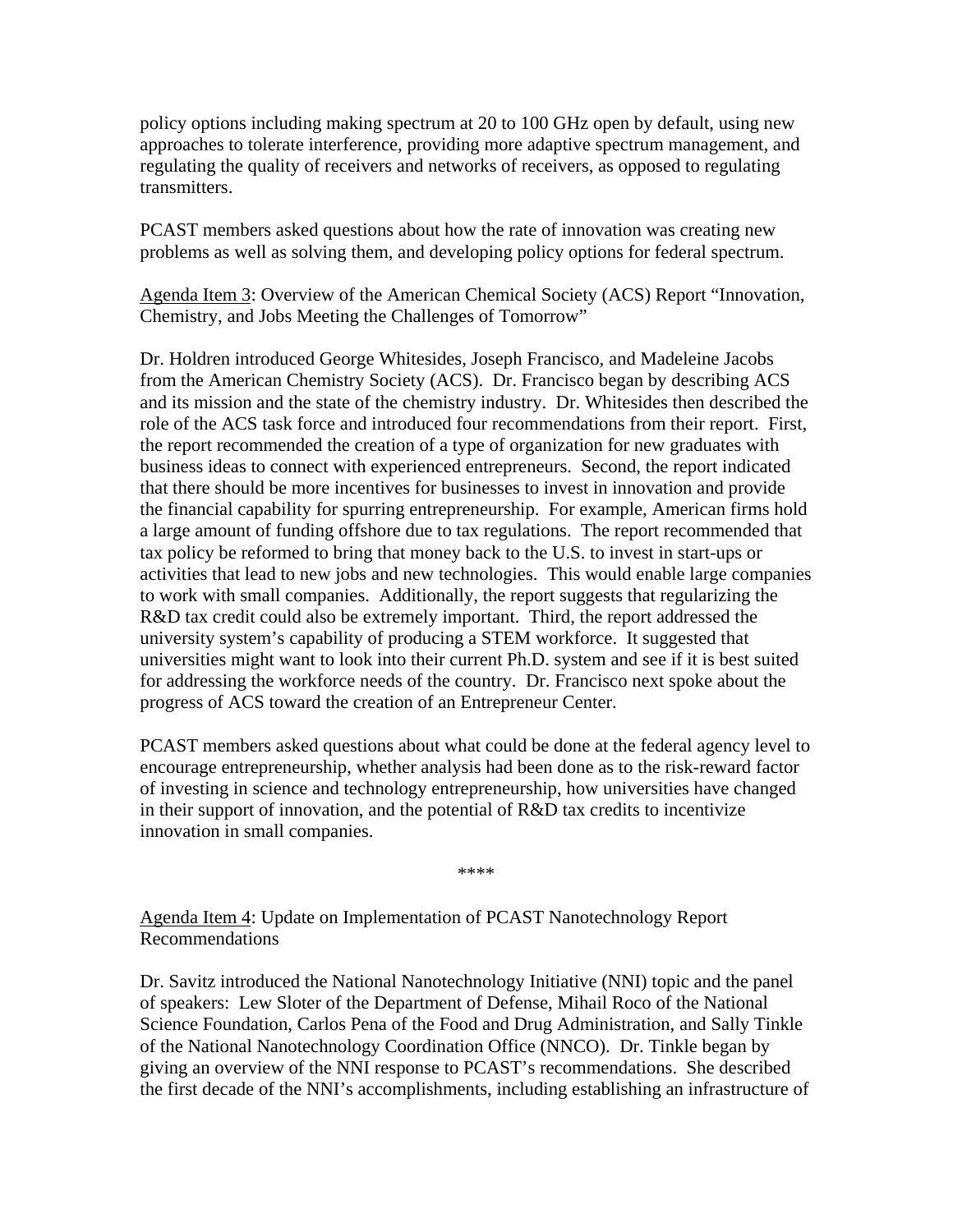policy options including making spectrum at 20 to 100 GHz open by default, using new approaches to tolerate interference, providing more adaptive spectrum management, and regulating the quality of receivers and networks of receivers, as opposed to regulating transmitters.

PCAST members asked questions about how the rate of innovation was creating new problems as well as solving them, and developing policy options for federal spectrum.

Agenda Item 3: Overview of the American Chemical Society (ACS) Report "Innovation, Chemistry, and Jobs Meeting the Challenges of Tomorrow"

Dr. Holdren introduced George Whitesides, Joseph Francisco, and Madeleine Jacobs from the American Chemistry Society (ACS). Dr. Francisco began by describing ACS and its mission and the state of the chemistry industry. Dr. Whitesides then described the role of the ACS task force and introduced four recommendations from their report. First, the report recommended the creation of a type of organization for new graduates with business ideas to connect with experienced entrepreneurs. Second, the report indicated that there should be more incentives for businesses to invest in innovation and provide the financial capability for spurring entrepreneurship. For example, American firms hold a large amount of funding offshore due to tax regulations. The report recommended that tax policy be reformed to bring that money back to the U.S. to invest in start-ups or activities that lead to new jobs and new technologies. This would enable large companies to work with small companies. Additionally, the report suggests that regularizing the R&D tax credit could also be extremely important. Third, the report addressed the university system's capability of producing a STEM workforce. It suggested that universities might want to look into their current Ph.D. system and see if it is best suited for addressing the workforce needs of the country. Dr. Francisco next spoke about the progress of ACS toward the creation of an Entrepreneur Center.

PCAST members asked questions about what could be done at the federal agency level to encourage entrepreneurship, whether analysis had been done as to the risk-reward factor of investing in science and technology entrepreneurship, how universities have changed in their support of innovation, and the potential of R&D tax credits to incentivize innovation in small companies.

\*\*\*\*

Agenda Item 4: Update on Implementation of PCAST Nanotechnology Report Recommendations

Dr. Savitz introduced the National Nanotechnology Initiative (NNI) topic and the panel of speakers: Lew Sloter of the Department of Defense, Mihail Roco of the National Science Foundation, Carlos Pena of the Food and Drug Administration, and Sally Tinkle of the National Nanotechnology Coordination Office (NNCO). Dr. Tinkle began by giving an overview of the NNI response to PCAST's recommendations. She described the first decade of the NNI's accomplishments, including establishing an infrastructure of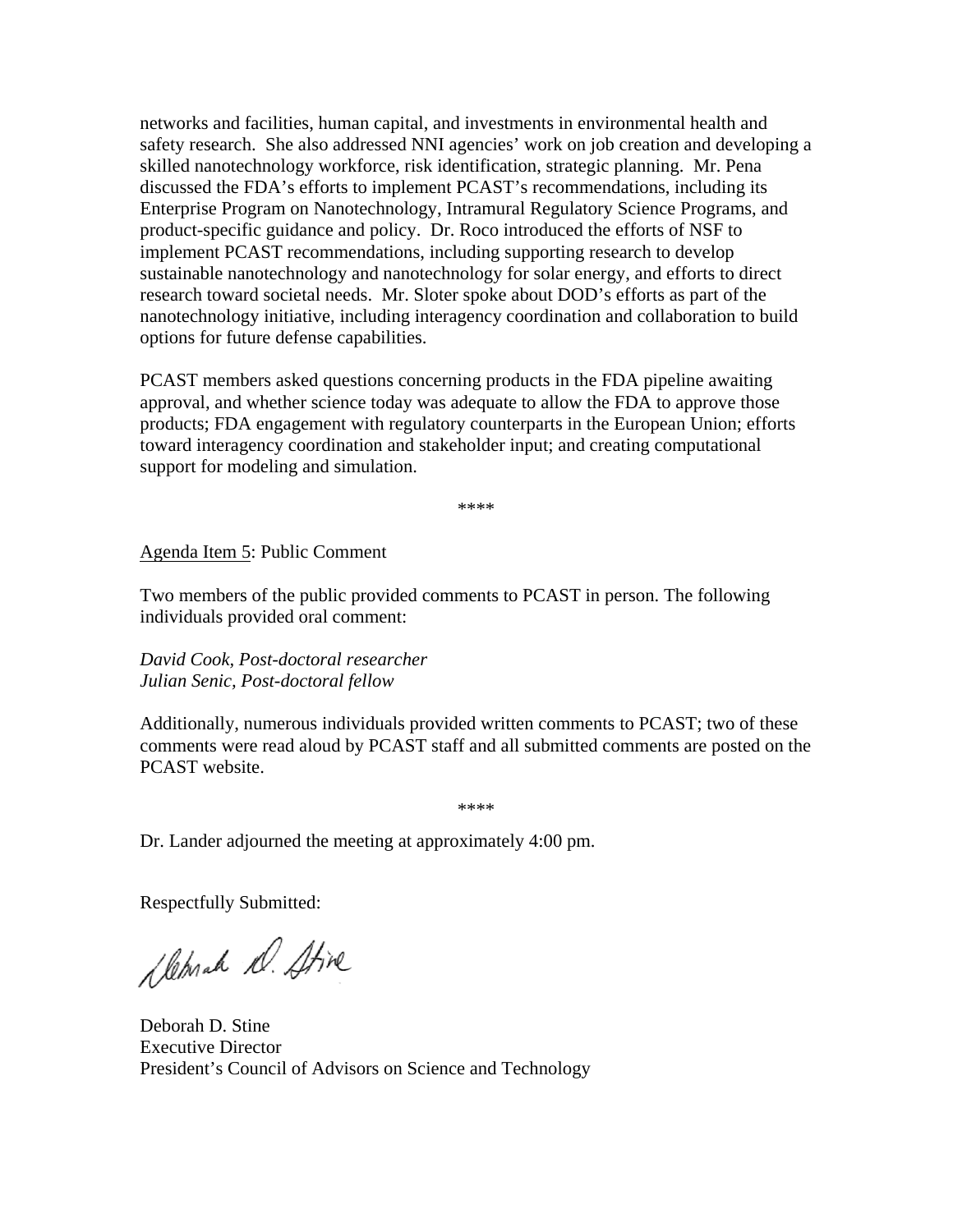networks and facilities, human capital, and investments in environmental health and safety research. She also addressed NNI agencies' work on job creation and developing a skilled nanotechnology workforce, risk identification, strategic planning. Mr. Pena discussed the FDA's efforts to implement PCAST's recommendations, including its Enterprise Program on Nanotechnology, Intramural Regulatory Science Programs, and product-specific guidance and policy. Dr. Roco introduced the efforts of NSF to implement PCAST recommendations, including supporting research to develop sustainable nanotechnology and nanotechnology for solar energy, and efforts to direct research toward societal needs. Mr. Sloter spoke about DOD's efforts as part of the nanotechnology initiative, including interagency coordination and collaboration to build options for future defense capabilities.

PCAST members asked questions concerning products in the FDA pipeline awaiting approval, and whether science today was adequate to allow the FDA to approve those products; FDA engagement with regulatory counterparts in the European Union; efforts toward interagency coordination and stakeholder input; and creating computational support for modeling and simulation.

\*\*\*\*

Agenda Item 5: Public Comment

Two members of the public provided comments to PCAST in person. The following individuals provided oral comment:

*David Cook, Post-doctoral researcher Julian Senic, Post-doctoral fellow* 

Additionally, numerous individuals provided written comments to PCAST; two of these comments were read aloud by PCAST staff and all submitted comments are posted on the PCAST website.

\*\*\*\*

Dr. Lander adjourned the meeting at approximately 4:00 pm.

Respectfully Submitted:

Slehrah D. Stive

Deborah D. Stine Executive Director President's Council of Advisors on Science and Technology